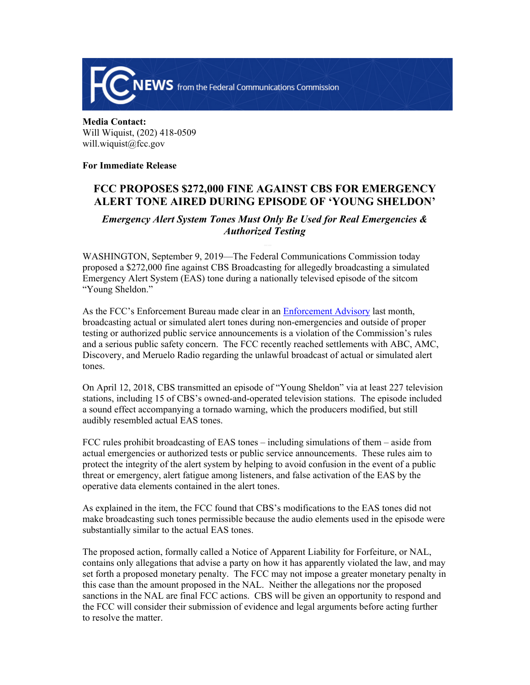

## **Media Contact:**  Will Wiquist, (202) 418-0509 will.wiquist@fcc.gov

**For Immediate Release**

## **FCC PROPOSES \$272,000 FINE AGAINST CBS FOR EMERGENCY ALERT TONE AIRED DURING EPISODE OF 'YOUNG SHELDON'**

## *Emergency Alert System Tones Must Only Be Used for Real Emergencies & Authorized Testing*

WASHINGTON, September 9, 2019—The Federal Communications Commission today proposed a \$272,000 fine against CBS Broadcasting for allegedly broadcasting a simulated Emergency Alert System (EAS) tone during a nationally televised episode of the sitcom "Young Sheldon."

As the FCC's Enforcement Bureau made clear in an [Enforcement Advisory](https://www.fcc.gov/document/fcc-issues-enforcement-advisory-misuse-eas-and-wea) last month, broadcasting actual or simulated alert tones during non-emergencies and outside of proper testing or authorized public service announcements is a violation of the Commission's rules and a serious public safety concern. The FCC recently reached settlements with ABC, AMC, Discovery, and Meruelo Radio regarding the unlawful broadcast of actual or simulated alert tones.

On April 12, 2018, CBS transmitted an episode of "Young Sheldon" via at least 227 television stations, including 15 of CBS's owned-and-operated television stations. The episode included a sound effect accompanying a tornado warning, which the producers modified, but still audibly resembled actual EAS tones.

FCC rules prohibit broadcasting of EAS tones – including simulations of them – aside from actual emergencies or authorized tests or public service announcements. These rules aim to protect the integrity of the alert system by helping to avoid confusion in the event of a public threat or emergency, alert fatigue among listeners, and false activation of the EAS by the operative data elements contained in the alert tones.

As explained in the item, the FCC found that CBS's modifications to the EAS tones did not make broadcasting such tones permissible because the audio elements used in the episode were substantially similar to the actual EAS tones.

The proposed action, formally called a Notice of Apparent Liability for Forfeiture, or NAL, contains only allegations that advise a party on how it has apparently violated the law, and may set forth a proposed monetary penalty. The FCC may not impose a greater monetary penalty in this case than the amount proposed in the NAL. Neither the allegations nor the proposed sanctions in the NAL are final FCC actions. CBS will be given an opportunity to respond and the FCC will consider their submission of evidence and legal arguments before acting further to resolve the matter.